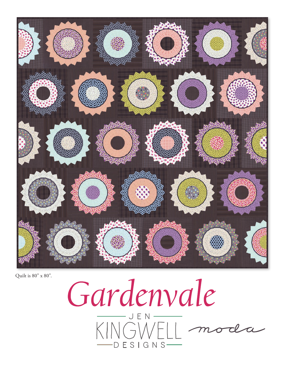

Quilt is 80" x 80".

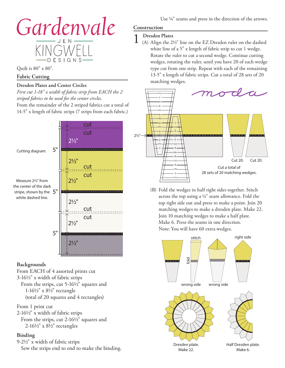

Quilt is 80" x 80".

## **Fabric Cutting**

### **Dresden Plates and Center Circles**

*First cut 1-18" x width of fabric strip from EACH the 2 striped fabrics to be used for the center circles.* From the remainder of the 2 striped fabrics cut a total of 14-5" x length of fabric strips (7 strips from each fabric.)



#### **Backgrounds**

From EACH of 4 assorted prints cut 3-161/2" x width of fabric strips From the strips, cut 5-16½" squares and 1-161/2" x 81/2" rectangle (total of 20 squares and 4 rectangles)

## From 1 print cut

2-161/2" x width of fabric strips From the strips, cut 2-16½" squares and  $2-16\frac{1}{2}$ " x  $8\frac{1}{2}$ " rectangles

# **Binding**

9-21/2" x width of fabric strips Sew the strips end to end to make the binding.

# **Construction**

1 **Dresden Plates** (A) Align the 21/2" line on the EZ Dresden ruler on the dashed white line of a 5" x length of fabric strip to cut 1 wedge. Rotate the ruler to cut a second wedge. Continue cutting wedges, rotating the ruler, until you have 20 of each wedge type cut from one strip. Repeat with each of the remaining 13-5" x length of fabric strips. Cut a total of 28 sets of 20 matching wedges.



(B) Fold the wedges in half right sides together. Stitch across the top using a  $1/4$ " seam allowance. Fold the top right side out and press to make a point. Join 20 matching wedges to make a dresden plate. Make 22. Join 10 matching wedges to make a half plate. Make 6. Press the seams in one direction. Note: You will have 60 extra wedges.

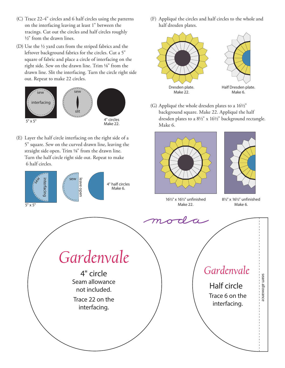- (C) Trace 22-4" circles and 6 half circles using the patterns on the interfacing leaving at least 1" between the tracings. Cut out the circles and half circles roughly 1/2" from the drawn lines.
- (D) Use the 1/2 yard cuts from the striped fabrics and the leftover background fabrics for the circles. Cut a 5" square of fabric and place a circle of interfacing on the right side. Sew on the drawn line. Trim 1/8" from the drawn line. Slit the interfacing. Turn the circle right side out. Repeat to make 22 circles.



(E) Layer the half circle interfacing on the right side of a 5" square. Sew on the curved drawn line, leaving the straight side open. Trim 1/8" from the drawn line. Turn the half circle right side out. Repeat to make 6 half circles.



(F) Appliqué the circles and half circles to the whole and half dresden plates.



(G) Appliqué the whole dresden plates to a 161/2" background square. Make 22. Appliqué the half dresden plates to a 81/2" x 161/2" background rectangle. Make 6.





161/2" x 161/2" unfinished

81/2" x 161/2" unfinished Make 6.



Trace 6 on the interfacing.

seam allowance

seam allowance